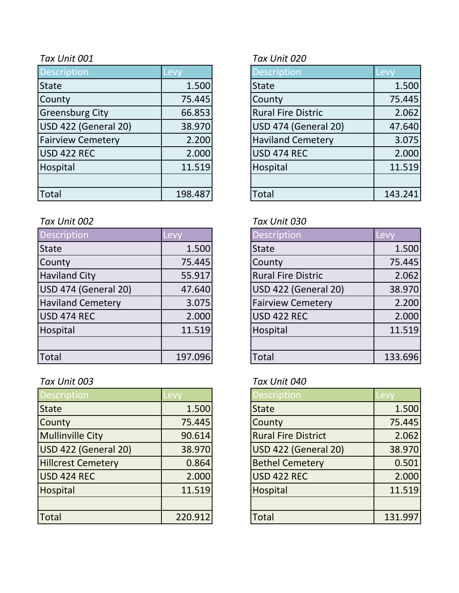| <b>Description</b>       | Levy    | <b>Description</b>        | Levy    |
|--------------------------|---------|---------------------------|---------|
| <b>State</b>             | 1.500   | <b>State</b>              | 1.500   |
| County                   | 75.445  | County                    | 75.445  |
| <b>Greensburg City</b>   | 66.853  | <b>Rural Fire Distric</b> | 2.062   |
| USD 422 (General 20)     | 38.970  | USD 474 (General 20)      | 47.640  |
| <b>Fairview Cemetery</b> | 2.200   | <b>Haviland Cemetery</b>  | 3.075   |
| USD 422 REC              | 2.000   | USD 474 REC               | 2.000   |
| Hospital                 | 11.519  | Hospital                  | 11.519  |
|                          |         |                           |         |
| Total                    | 198.487 | <b>Total</b>              | 143.241 |

### *Tax Unit 002 Tax Unit 030*

| Description              | Levy    | <b>Description</b>        | Levy    |
|--------------------------|---------|---------------------------|---------|
| <b>State</b>             | 1.500   | <b>State</b>              | 1.500   |
| County                   | 75.445  | County                    | 75.445  |
| <b>Haviland City</b>     | 55.917  | <b>Rural Fire Distric</b> | 2.062   |
| USD 474 (General 20)     | 47.640  | USD 422 (General 20)      | 38.970  |
| <b>Haviland Cemetery</b> | 3.075   | <b>Fairview Cemetery</b>  | 2.200   |
| USD 474 REC              | 2.000   | <b>USD 422 REC</b>        | 2.000   |
| Hospital                 | 11.519  | Hospital                  | 11.519  |
|                          |         |                           |         |
| <b>Total</b>             | 197.096 | Total                     | 133.696 |

# *Tax Unit 003 Tax Unit 040*

| <b>Description</b>        | Levy    | <b>Description</b>         | <b>Levy</b> |
|---------------------------|---------|----------------------------|-------------|
| <b>State</b>              | 1.500   | <b>State</b>               | 1.500       |
| County                    | 75.445  | County                     | 75.445      |
| <b>Mullinville City</b>   | 90.614  | <b>Rural Fire District</b> | 2.062       |
| USD 422 (General 20)      | 38.970  | USD 422 (General 20)       | 38.970      |
| <b>Hillcrest Cemetery</b> | 0.864   | <b>Bethel Cemetery</b>     | 0.501       |
| USD 424 REC               | 2.000   | <b>USD 422 REC</b>         | 2.000       |
| Hospital                  | 11.519  | Hospital                   | 11.519      |
|                           |         |                            |             |
| Total                     | 220.912 | <b>Total</b>               | 131.997     |

## *Tax Unit 001 Tax Unit 020*

| Description                 | Levy    |
|-----------------------------|---------|
| <b>State</b>                | 1.500   |
| County                      | 75.445  |
| <b>Rural Fire Distric</b>   | 2.062   |
| <b>USD 474 (General 20)</b> | 47.640  |
| <b>Haviland Cemetery</b>    | 3.075   |
| <b>USD 474 REC</b>          | 2.000   |
| Hospital                    | 11.519  |
|                             |         |
| <b>Total</b>                | 143.241 |

| <b>Description</b>        | <b>Lev</b> |
|---------------------------|------------|
| <b>State</b>              | 1.500      |
| County                    | 75.445     |
| <b>Rural Fire Distric</b> | 2.062      |
| USD 422 (General 20)      | 38.970     |
| <b>Fairview Cemetery</b>  | 2.200      |
| <b>USD 422 REC</b>        | 2.000      |
| Hospital                  | 11.519     |
|                           |            |
| Total                     | 133.696    |

| <b>Description</b>         | Levv   |
|----------------------------|--------|
| <b>State</b>               | 1.500  |
| County                     | 75.445 |
| <b>Rural Fire District</b> | 2.062  |
| USD 422 (General 20)       | 38.970 |
| <b>Bethel Cemetery</b>     | 0.501  |
| <b>USD 422 REC</b>         | 2.000  |
| <b>Hospital</b>            | 11.519 |
|                            |        |
| Total                      | 131.99 |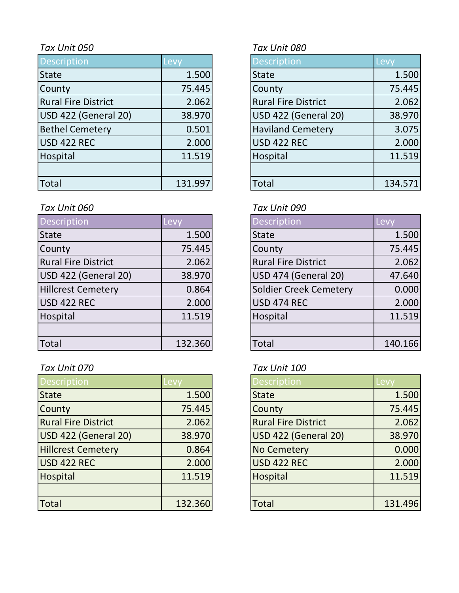| <b>Description</b>         | Levy    | <b>Description</b>         |                          | Levy    |
|----------------------------|---------|----------------------------|--------------------------|---------|
| <b>State</b>               | 1.500   | <b>State</b>               |                          | 1.500   |
| County                     | 75.445  | County                     |                          | 75.445  |
| <b>Rural Fire District</b> | 2.062   | <b>Rural Fire District</b> |                          | 2.062   |
| USD 422 (General 20)       | 38.970  |                            | USD 422 (General 20)     | 38.970  |
| <b>Bethel Cemetery</b>     | 0.501   |                            | <b>Haviland Cemetery</b> | 3.075   |
| USD 422 REC                | 2.000   | <b>USD 422 REC</b>         |                          | 2.000   |
| Hospital                   | 11.519  | Hospital                   |                          | 11.519  |
|                            |         |                            |                          |         |
| <b>Total</b>               | 131.997 | <b>Total</b>               |                          | 134.571 |

# *Tax Unit 060 Tax Unit 090*

| Description                | Levy    | <b>Description</b>         | Levy    |
|----------------------------|---------|----------------------------|---------|
| <b>State</b>               | 1.500   | <b>State</b>               | 1.500   |
| County                     | 75.445  | County                     | 75.445  |
| <b>Rural Fire District</b> | 2.062   | <b>Rural Fire District</b> | 2.062   |
| USD 422 (General 20)       | 38.970  | USD 474 (General 20)       | 47.640  |
| <b>Hillcrest Cemetery</b>  | 0.864   | Soldier Creek Cemetery     | 0.000   |
| USD 422 REC                | 2.000   | <b>USD 474 REC</b>         | 2.000   |
| Hospital                   | 11.519  | Hospital                   | 11.519  |
|                            |         |                            |         |
| <b>Total</b>               | 132.360 | Total                      | 140.166 |

# *Tax Unit 070 Tax Unit 100*

| <b>Description</b>         | evy.    | <b>Description</b>         | -evy    |
|----------------------------|---------|----------------------------|---------|
| <b>State</b>               | 1.500   | <b>State</b>               | 1.500   |
| County                     | 75.445  | County                     | 75.445  |
| <b>Rural Fire District</b> | 2.062   | <b>Rural Fire District</b> | 2.062   |
| USD 422 (General 20)       | 38.970  | USD 422 (General 20)       | 38.970  |
| <b>Hillcrest Cemetery</b>  | 0.864   | <b>No Cemetery</b>         | 0.000   |
| USD 422 REC                | 2.000   | USD 422 REC                | 2.000   |
| Hospital                   | 11.519  | Hospital                   | 11.519  |
|                            |         |                            |         |
| <b>Total</b>               | 132.360 | <b>Total</b>               | 131.496 |

# *Tax Unit 050 Tax Unit 080*

| <b>Description</b>          | Levy    |
|-----------------------------|---------|
| State                       | 1.500   |
| County                      | 75.445  |
| <b>Rural Fire District</b>  | 2.062   |
| <b>USD 422 (General 20)</b> | 38.970  |
| <b>Haviland Cemetery</b>    | 3.075   |
| <b>USD 422 REC</b>          | 2.000   |
| Hospital                    | 11.519  |
|                             |         |
| ัด†al                       | 134.571 |

| <b>Description</b>            | Levy    |
|-------------------------------|---------|
| <b>State</b>                  | 1.500   |
| County                        | 75.445  |
| <b>Rural Fire District</b>    | 2.062   |
| <b>USD 474 (General 20)</b>   | 47.640  |
| <b>Soldier Creek Cemetery</b> | 0.000   |
| <b>USD 474 REC</b>            | 2.000   |
| Hospital                      | 11.519  |
|                               |         |
| Total                         | 140.166 |

| <b>Description</b>         | Levy    |
|----------------------------|---------|
| <b>State</b>               | 1.500   |
| County                     | 75.445  |
| <b>Rural Fire District</b> | 2.062   |
| USD 422 (General 20)       | 38.970  |
| <b>No Cemetery</b>         | 0.000   |
| <b>USD 422 REC</b>         | 2.000   |
| Hospital                   | 11.519  |
|                            |         |
| Total                      | 131.496 |